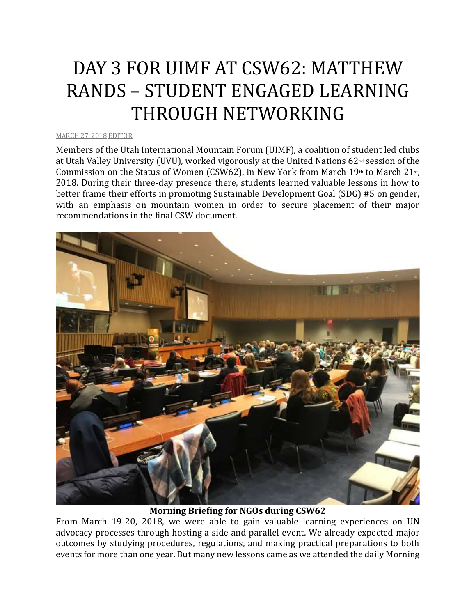## DAY 3 FOR UIMF AT CSW62: MATTHEW RANDS – STUDENT ENGAGED LEARNING THROUGH NETWORKING

## [MARCH](http://utahimf.org/archives/3506) 27, 2018 [EDITOR](http://utahimf.org/archives/author/editor)

Members of the Utah International Mountain Forum (UIMF), a coalition of student led clubs at Utah Valley University (UVU), worked vigorously at the United Nations 62nd session of the Commission on the Status of Women (CSW62), in New York from March  $19<sup>th</sup>$  to March  $21<sup>st</sup>$ , 2018. During their three-day presence there, students learned valuable lessons in how to better frame their efforts in promoting Sustainable Development Goal (SDG) #5 on gender, with an emphasis on mountain women in order to secure placement of their major recommendations in the final CSW document.



**Morning Briefing for NGOs during CSW62**

From March 19-20, 2018, we were able to gain valuable learning experiences on UN advocacy processes through hosting a side and parallel event. We already expected major outcomes by studying procedures, regulations, and making practical preparations to both events for more than one year. But many new lessons came as we attended the daily Morning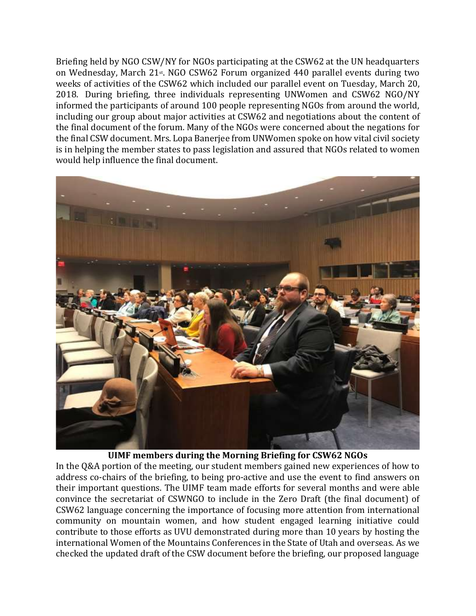Briefing held by NGO CSW/NY for NGOs participating at the CSW62 at the UN headquarters on Wednesday, March 21st. NGO CSW62 Forum organized 440 parallel events during two weeks of activities of the CSW62 which included our parallel event on Tuesday, March 20, 2018. During briefing, three individuals representing UNWomen and CSW62 NGO/NY informed the participants of around 100 people representing NGOs from around the world, including our group about major activities at CSW62 and negotiations about the content of the final document of the forum. Many of the NGOs were concerned about the negations for the final CSW document. Mrs. Lopa Banerjee from UNWomen spoke on how vital civil society is in helping the member states to pass legislation and assured that NGOs related to women would help influence the final document.



**UIMF members during the Morning Briefing for CSW62 NGOs**

In the Q&A portion of the meeting, our student members gained new experiences of how to address co-chairs of the briefing, to being pro-active and use the event to find answers on their important questions. The UIMF team made efforts for several months and were able convince the secretariat of CSWNGO to include in the Zero Draft (the final document) of CSW62 language concerning the importance of focusing more attention from international community on mountain women, and how student engaged learning initiative could contribute to those efforts as UVU demonstrated during more than 10 years by hosting the international Women of the Mountains Conferences in the State of Utah and overseas. As we checked the updated draft of the CSW document before the briefing, our proposed language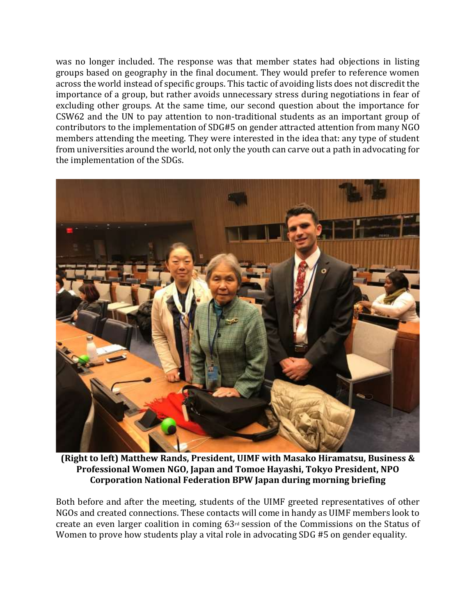was no longer included. The response was that member states had objections in listing groups based on geography in the final document. They would prefer to reference women across the world instead of specific groups. This tactic of avoiding lists does not discredit the importance of a group, but rather avoids unnecessary stress during negotiations in fear of excluding other groups. At the same time, our second question about the importance for CSW62 and the UN to pay attention to non-traditional students as an important group of contributors to the implementation of SDG#5 on gender attracted attention from many NGO members attending the meeting. They were interested in the idea that: any type of student from universities around the world, not only the youth can carve out a path in advocating for the implementation of the SDGs.



**(Right to left) Matthew Rands, President, UIMF with Masako Hiramatsu, Business & Professional Women NGO, Japan and Tomoe Hayashi, Tokyo President, NPO Corporation National Federation BPW Japan during morning briefing**

Both before and after the meeting, students of the UIMF greeted representatives of other NGOs and created connections. These contacts will come in handy as UIMF members look to create an even larger coalition in coming 63rd session of the Commissions on the Status of Women to prove how students play a vital role in advocating SDG #5 on gender equality.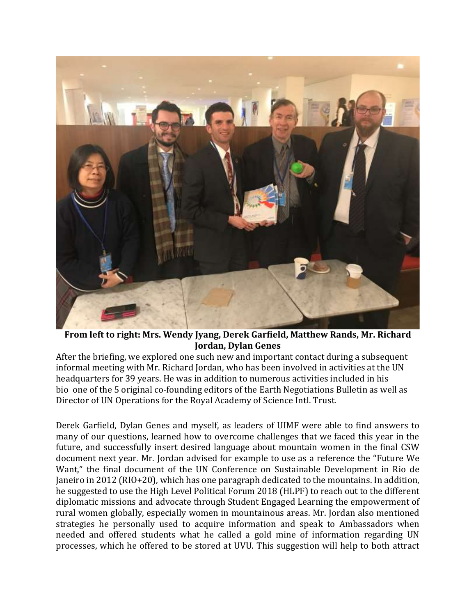

**From left to right: Mrs. Wendy Jyang, Derek Garfield, Matthew Rands, Mr. Richard Jordan, Dylan Genes**

After the briefing, we explored one such new and important contact during a subsequent informal meeting with Mr. Richard Jordan, who has been involved in activities at the UN headquarters for 39 years. He was in addition to numerous activities included in his bio one of the 5 original co-founding editors of the Earth Negotiations Bulletin as well as Director of UN Operations for the Royal Academy of Science Intl. Trust.

Derek Garfield, Dylan Genes and myself, as leaders of UIMF were able to find answers to many of our questions, learned how to overcome challenges that we faced this year in the future, and successfully insert desired language about mountain women in the final CSW document next year. Mr. Jordan advised for example to use as a reference the "Future We Want," the final document of the UN Conference on Sustainable Development in Rio de Janeiro in 2012 (RIO+20), which has one paragraph dedicated to the mountains. In addition, he suggested to use the High Level Political Forum 2018 (HLPF) to reach out to the different diplomatic missions and advocate through Student Engaged Learning the empowerment of rural women globally, especially women in mountainous areas. Mr. Jordan also mentioned strategies he personally used to acquire information and speak to Ambassadors when needed and offered students what he called a gold mine of information regarding UN processes, which he offered to be stored at UVU. This suggestion will help to both attract